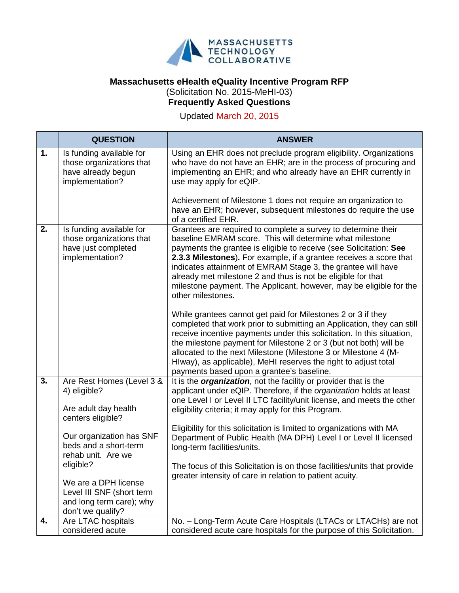

## **Massachusetts eHealth eQuality Incentive Program RFP** (Solicitation No. 2015-MeHI-03)

## **Frequently Asked Questions**

Updated March 20, 2015

|    | <b>QUESTION</b>                                                                                                 | <b>ANSWER</b>                                                                                                                                                                                                                                                                                                                                                                                                                                                                                    |
|----|-----------------------------------------------------------------------------------------------------------------|--------------------------------------------------------------------------------------------------------------------------------------------------------------------------------------------------------------------------------------------------------------------------------------------------------------------------------------------------------------------------------------------------------------------------------------------------------------------------------------------------|
| 1. | Is funding available for<br>those organizations that<br>have already begun<br>implementation?                   | Using an EHR does not preclude program eligibility. Organizations<br>who have do not have an EHR; are in the process of procuring and<br>implementing an EHR; and who already have an EHR currently in<br>use may apply for eQIP.                                                                                                                                                                                                                                                                |
|    |                                                                                                                 | Achievement of Milestone 1 does not require an organization to<br>have an EHR; however, subsequent milestones do require the use<br>of a certified EHR.                                                                                                                                                                                                                                                                                                                                          |
| 2. | Is funding available for<br>those organizations that<br>have just completed<br>implementation?                  | Grantees are required to complete a survey to determine their<br>baseline EMRAM score. This will determine what milestone<br>payments the grantee is eligible to receive (see Solicitation: See<br>2.3.3 Milestones). For example, if a grantee receives a score that<br>indicates attainment of EMRAM Stage 3, the grantee will have<br>already met milestone 2 and thus is not be eligible for that<br>milestone payment. The Applicant, however, may be eligible for the<br>other milestones. |
|    |                                                                                                                 | While grantees cannot get paid for Milestones 2 or 3 if they<br>completed that work prior to submitting an Application, they can still<br>receive incentive payments under this solicitation. In this situation,<br>the milestone payment for Milestone 2 or 3 (but not both) will be<br>allocated to the next Milestone (Milestone 3 or Milestone 4 (M-<br>HIway), as applicable), MeHI reserves the right to adjust total<br>payments based upon a grantee's baseline.                         |
| 3. | Are Rest Homes (Level 3 &<br>4) eligible?<br>Are adult day health<br>centers eligible?                          | It is the <i>organization</i> , not the facility or provider that is the<br>applicant under eQIP. Therefore, if the organization holds at least<br>one Level I or Level II LTC facility/unit license, and meets the other<br>eligibility criteria; it may apply for this Program.                                                                                                                                                                                                                |
|    | Our organization has SNF<br>beds and a short-term<br>rehab unit. Are we                                         | Eligibility for this solicitation is limited to organizations with MA<br>Department of Public Health (MA DPH) Level I or Level II licensed<br>long-term facilities/units.                                                                                                                                                                                                                                                                                                                        |
|    | eligible?<br>We are a DPH license<br>Level III SNF (short term<br>and long term care); why<br>don't we qualify? | The focus of this Solicitation is on those facilities/units that provide<br>greater intensity of care in relation to patient acuity.                                                                                                                                                                                                                                                                                                                                                             |
| 4. | Are LTAC hospitals<br>considered acute                                                                          | No. - Long-Term Acute Care Hospitals (LTACs or LTACHs) are not<br>considered acute care hospitals for the purpose of this Solicitation.                                                                                                                                                                                                                                                                                                                                                          |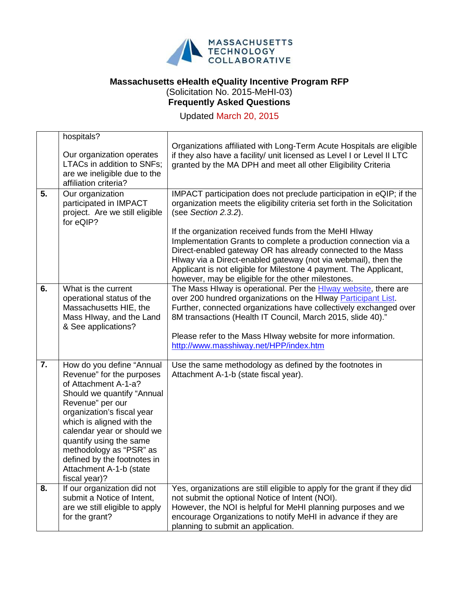

## **Massachusetts eHealth eQuality Incentive Program RFP** (Solicitation No. 2015-MeHI-03) **Frequently Asked Questions**

Updated March 20, 2015

| 5.               | hospitals?<br>Our organization operates<br>LTACs in addition to SNFs;<br>are we ineligible due to the<br>affiliation criteria?                                                                                                                                                                                                                             | Organizations affiliated with Long-Term Acute Hospitals are eligible<br>if they also have a facility/ unit licensed as Level I or Level II LTC<br>granted by the MA DPH and meet all other Eligibility Criteria                                                                                                                                                                                                                                                                                                                                                    |
|------------------|------------------------------------------------------------------------------------------------------------------------------------------------------------------------------------------------------------------------------------------------------------------------------------------------------------------------------------------------------------|--------------------------------------------------------------------------------------------------------------------------------------------------------------------------------------------------------------------------------------------------------------------------------------------------------------------------------------------------------------------------------------------------------------------------------------------------------------------------------------------------------------------------------------------------------------------|
|                  | Our organization<br>participated in IMPACT<br>project. Are we still eligible<br>for eQIP?                                                                                                                                                                                                                                                                  | IMPACT participation does not preclude participation in eQIP; if the<br>organization meets the eligibility criteria set forth in the Solicitation<br>(see Section 2.3.2).<br>If the organization received funds from the MeHI HIway<br>Implementation Grants to complete a production connection via a<br>Direct-enabled gateway OR has already connected to the Mass<br>Hlway via a Direct-enabled gateway (not via webmail), then the<br>Applicant is not eligible for Milestone 4 payment. The Applicant,<br>however, may be eligible for the other milestones. |
| 6.               | What is the current<br>operational status of the<br>Massachusetts HIE, the<br>Mass Hlway, and the Land<br>& See applications?                                                                                                                                                                                                                              | The Mass Hlway is operational. Per the Hlway website, there are<br>over 200 hundred organizations on the HIway Participant List.<br>Further, connected organizations have collectively exchanged over<br>8M transactions (Health IT Council, March 2015, slide 40)."<br>Please refer to the Mass HIway website for more information.<br>http://www.masshiway.net/HPP/index.htm                                                                                                                                                                                     |
| $\overline{7}$ . | How do you define "Annual<br>Revenue" for the purposes<br>of Attachment A-1-a?<br>Should we quantify "Annual<br>Revenue" per our<br>organization's fiscal year<br>which is aligned with the<br>calendar year or should we<br>quantify using the same<br>methodology as "PSR" as<br>defined by the footnotes in<br>Attachment A-1-b (state<br>fiscal year)? | Use the same methodology as defined by the footnotes in<br>Attachment A-1-b (state fiscal year).                                                                                                                                                                                                                                                                                                                                                                                                                                                                   |
| 8.               | If our organization did not<br>submit a Notice of Intent,<br>are we still eligible to apply<br>for the grant?                                                                                                                                                                                                                                              | Yes, organizations are still eligible to apply for the grant if they did<br>not submit the optional Notice of Intent (NOI).<br>However, the NOI is helpful for MeHI planning purposes and we<br>encourage Organizations to notify MeHI in advance if they are<br>planning to submit an application.                                                                                                                                                                                                                                                                |